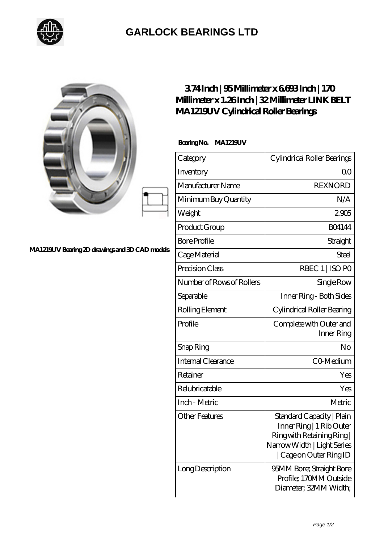

## **[GARLOCK BEARINGS LTD](https://m.letterstopriests.com)**

|                                                | 374Inch   95Millimeter x 6698Inch   170<br>Millimeter x 1.26Inch   32 Millimeter LINK BELT<br>MA1219UV Cylindrical Roller Bearings |                                                                                                                                           |
|------------------------------------------------|------------------------------------------------------------------------------------------------------------------------------------|-------------------------------------------------------------------------------------------------------------------------------------------|
| MA1219UV Bearing 2D drawings and 3D CAD models | BearingNo.<br><b>MA1219UV</b>                                                                                                      |                                                                                                                                           |
|                                                | Category                                                                                                                           | Cylindrical Roller Bearings                                                                                                               |
|                                                | Inventory                                                                                                                          | QO                                                                                                                                        |
|                                                | Manufacturer Name                                                                                                                  | <b>REXNORD</b>                                                                                                                            |
|                                                | Minimum Buy Quantity                                                                                                               | N/A                                                                                                                                       |
|                                                | Weight                                                                                                                             | 2905                                                                                                                                      |
|                                                | Product Group                                                                                                                      | <b>BO4144</b>                                                                                                                             |
|                                                | <b>Bore Profile</b>                                                                                                                | Straight                                                                                                                                  |
|                                                | Cage Material                                                                                                                      | <b>Steel</b>                                                                                                                              |
|                                                | Precision Class                                                                                                                    | RBEC 1   ISO PO                                                                                                                           |
|                                                | Number of Rows of Rollers                                                                                                          | Single Row                                                                                                                                |
|                                                | Separable                                                                                                                          | Inner Ring - Both Sides                                                                                                                   |
|                                                | Rolling Element                                                                                                                    | Cylindrical Roller Bearing                                                                                                                |
|                                                | Profile                                                                                                                            | Complete with Outer and<br>Inner Ring                                                                                                     |
|                                                | Snap Ring                                                                                                                          | No                                                                                                                                        |
|                                                | <b>Internal Clearance</b>                                                                                                          | CO-Medium                                                                                                                                 |
|                                                | Retainer                                                                                                                           | Yes                                                                                                                                       |
|                                                | Relubricatable                                                                                                                     | Yes                                                                                                                                       |
|                                                | Inch - Metric                                                                                                                      | Metric                                                                                                                                    |
|                                                | <b>Other Features</b>                                                                                                              | Standard Capacity   Plain<br>Inner Ring   1 Rib Outer<br>Ring with Retaining Ring<br>Narrow Width   Light Series<br>Cage on Outer Ring ID |
|                                                | Long Description                                                                                                                   | 95MM Bore; Straight Bore<br>Profile; 170MM Outside<br>Diameter; 32MM Width;                                                               |